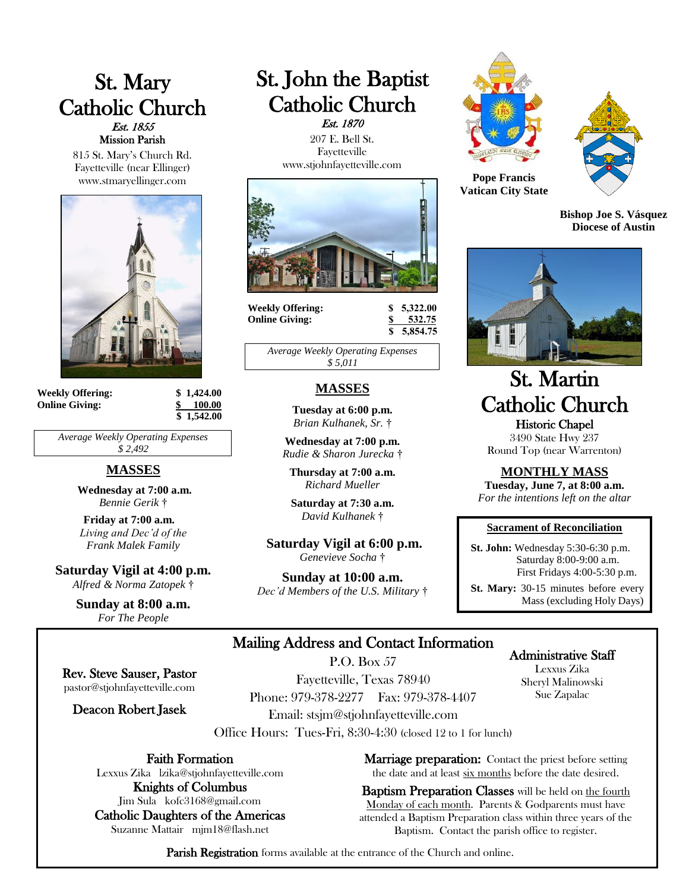# St. Mary Catholic Church Est. 1855 Mission Parish

815 St. Mary's Church Rd. Fayetteville (near Ellinger) www.stmaryellinger.com



**Weekly Offering: \$ 1,424.00 Online Giving: \$ 100.00**

 **\$ 1,542.00**

*Average Weekly Operating Expenses \$ 2,492*

# **MASSES**

**Wednesday at 7:00 a.m.** *Bennie Gerik* †

**Friday at 7:00 a.m.** *Living and Dec'd of the Frank Malek Family*

**Saturday Vigil at 4:00 p.m.** *Alfred & Norma Zatopek* †

> **Sunday at 8:00 a.m.** *For The People*

# St. John the Baptist Catholic Church Est. 1870

 207 E. Bell St. Fayetteville www.stjohnfayetteville.com



**Weekly Offering: \$ 5,322.00 Online Giving: \$ 532.75**

 **\$ 5,854.75**

*Average Weekly Operating Expenses \$ 5,011*

# **MASSES**

**Tuesday at 6:00 p.m.** *Brian Kulhanek, Sr.* †

**Wednesday at 7:00 p.m.** *Rudie & Sharon Jurecka* †

**Thursday at 7:00 a.m.** *Richard Mueller*

**Saturday at 7:30 a.m.**  *David Kulhanek* †

**Saturday Vigil at 6:00 p.m.** *Genevieve Socha* †

**Sunday at 10:00 a.m.** *Dec'd Members of the U.S. Military* †





**Pope Francis Vatican City State**

**Bishop Joe S. Vásquez Diocese of Austin**



# St. Martin Catholic Church Historic Chapel

3490 State Hwy 237 Round Top (near Warrenton)

**MONTHLY MASS**

**Tuesday, June 7, at 8:00 a.m.** *For the intentions left on the altar*

#### **Sacrament of Reconciliation**

 **St. John:** Wednesday 5:30-6:30 p.m. Saturday 8:00-9:00 a.m. First Fridays 4:00-5:30 p.m.

 **St. Mary:** 30-15 minutes before every Mass (excluding Holy Days)

# Mailing Address and Contact Information

P.O. Box 57

Rev. Steve Sauser, Pastor pastor@stjohnfayetteville.com

Deacon Robert Jasek

Fayetteville, Texas 78940 Phone: 979-378-2277 Fax: 979-378-4407 Email: stsjm@stjohnfayetteville.com

Office Hours: Tues-Fri, 8:30-4:30 (closed 12 to 1 for lunch)

Faith Formation

Lexxus Zika lzika@stjohnfayetteville.com Knights of Columbus

Jim Sula kofc3168@gmail.com Catholic Daughters of the Americas Suzanne Mattair mjm18@flash.net

Administrative Staff Lexxus Zika

Sheryl Malinowski Sue Zapalac

**Marriage preparation:** Contact the priest before setting the date and at least six months before the date desired.

Baptism Preparation Classes will be held on the fourth Monday of each month. Parents & Godparents must have attended a Baptism Preparation class within three years of the Baptism. Contact the parish office to register.

Parish Registration forms available at the entrance of the Church and online.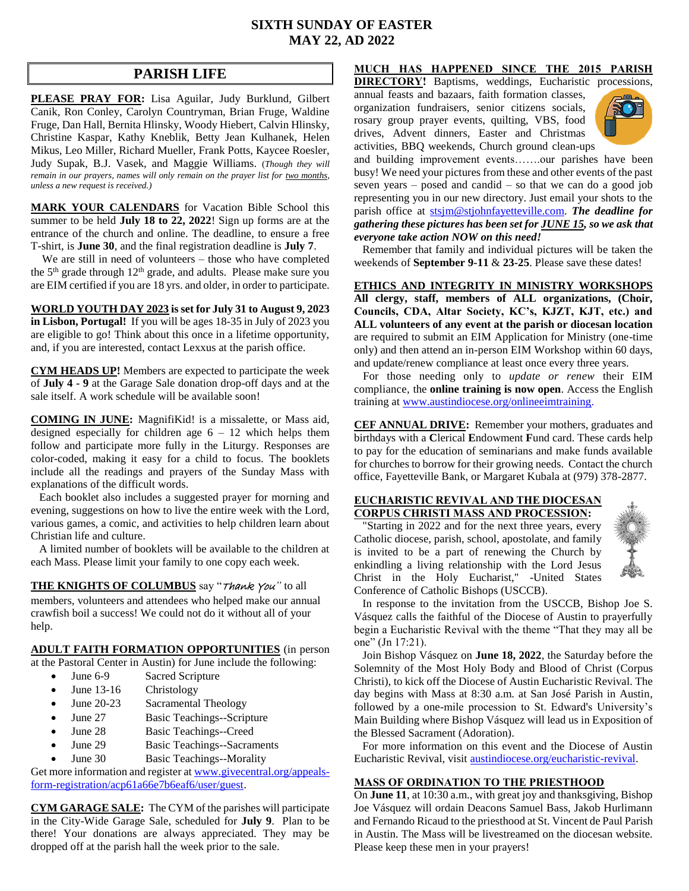## **SIXTH SUNDAY OF EASTER MAY 22, AD 2022**

# **PARISH LIFE**

**PLEASE PRAY FOR:** Lisa Aguilar, Judy Burklund, Gilbert Canik, Ron Conley, Carolyn Countryman, Brian Fruge, Waldine Fruge, Dan Hall, Bernita Hlinsky, Woody Hiebert, Calvin Hlinsky, Christine Kaspar, Kathy Kneblik, Betty Jean Kulhanek, Helen Mikus, Leo Miller, Richard Mueller, Frank Potts, Kaycee Roesler, Judy Supak, B.J. Vasek, and Maggie Williams. (*Though they will remain in our prayers, names will only remain on the prayer list for two months, unless a new request is received.)*

**MARK YOUR CALENDARS** for Vacation Bible School this summer to be held **July 18 to 22, 2022**! Sign up forms are at the entrance of the church and online. The deadline, to ensure a free T-shirt, is **June 30**, and the final registration deadline is **July 7**.

 We are still in need of volunteers – those who have completed the 5<sup>th</sup> grade through 12<sup>th</sup> grade, and adults. Please make sure you are EIM certified if you are 18 yrs. and older, in order to participate.

**WORLD YOUTH DAY 2023 is set for July 31 to August 9, 2023 in Lisbon, Portugal!** If you will be ages 18-35 in July of 2023 you are eligible to go! Think about this once in a lifetime opportunity, and, if you are interested, contact Lexxus at the parish office.

**CYM HEADS UP!** Members are expected to participate the week of **July 4 - 9** at the Garage Sale donation drop-off days and at the sale itself. A work schedule will be available soon!

**COMING IN JUNE:** MagnifiKid! is a missalette, or Mass aid, designed especially for children age  $6 - 12$  which helps them follow and participate more fully in the Liturgy. Responses are color-coded, making it easy for a child to focus. The booklets include all the readings and prayers of the Sunday Mass with explanations of the difficult words.

 Each booklet also includes a suggested prayer for morning and evening, suggestions on how to live the entire week with the Lord, various games, a comic, and activities to help children learn about Christian life and culture.

 A limited number of booklets will be available to the children at each Mass. Please limit your family to one copy each week.

**THE KNIGHTS OF COLUMBUS** say "Thank You*"* to all members, volunteers and attendees who helped make our annual crawfish boil a success! We could not do it without all of your help.

#### **ADULT FAITH FORMATION OPPORTUNITIES** (in person

at the Pastoral Center in Austin) for June include the following:

- June 6-9 Sacred Scripture
- June 13-16 Christology
- June 20-23 Sacramental Theology
- June 27 Basic Teachings--Scripture
- June 28 Basic Teachings--Creed
- June 29 Basic Teachings--Sacraments
- June 30 Basic Teachings--Morality

Get more information and register a[t www.givecentral.org/appeals](https://www.givecentral.org/appeals-form-registration/acp61a66e7b6eaf6/user/guest)[form-registration/acp61a66e7b6eaf6/user/guest.](https://www.givecentral.org/appeals-form-registration/acp61a66e7b6eaf6/user/guest)

**CYM GARAGE SALE:** The CYM of the parishes will participate in the City-Wide Garage Sale, scheduled for **July 9**. Plan to be there! Your donations are always appreciated. They may be dropped off at the parish hall the week prior to the sale.

# **MUCH HAS HAPPENED SINCE THE 2015 PARISH**

**DIRECTORY!** Baptisms, weddings, Eucharistic processions,

annual feasts and bazaars, faith formation classes, organization fundraisers, senior citizens socials, rosary group prayer events, quilting, VBS, food drives, Advent dinners, Easter and Christmas activities, BBQ weekends, Church ground clean-ups



and building improvement events…….our parishes have been busy! We need your pictures from these and other events of the past seven years – posed and candid – so that we can do a good job representing you in our new directory. Just email your shots to the parish office at [stsjm@stjohnfayetteville.com.](mailto:stsjm@stjohnfayetteville.com) *The deadline for gathering these pictures has been set for JUNE 15, so we ask that everyone take action NOW on this need!*

 Remember that family and individual pictures will be taken the weekends of **September 9-11** & **23-25**. Please save these dates!

**ETHICS AND INTEGRITY IN MINISTRY WORKSHOPS All clergy, staff, members of ALL organizations, (Choir, Councils, CDA, Altar Society, KC's, KJZT, KJT, etc.) and ALL volunteers of any event at the parish or diocesan location**  are required to submit an EIM Application for Ministry (one-time only) and then attend an in-person EIM Workshop within 60 days, and update/renew compliance at least once every three years.

 For those needing only to *update or renew* their EIM compliance, the **online training is now open**. Access the English training at [www.austindiocese.org/onlineeimtraining.](http://www.austindiocese.org/onlineeimtraining)

**CEF ANNUAL DRIVE:** Remember your mothers, graduates and birthdays with a **C**lerical **E**ndowment **F**und card. These cards help to pay for the education of seminarians and make funds available for churches to borrow for their growing needs. Contact the church office, Fayetteville Bank, or Margaret Kubala at (979) 378-2877.

#### **EUCHARISTIC REVIVAL AND THE DIOCESAN CORPUS CHRISTI MASS AND PROCESSION:**

 "Starting in 2022 and for the next three years, every Catholic diocese, parish, school, apostolate, and family is invited to be a part of renewing the Church by enkindling a living relationship with the Lord Jesus Christ in the Holy Eucharist," -United States Conference of Catholic Bishops (USCCB).



 In response to the invitation from the USCCB, Bishop Joe S. Vásquez calls the faithful of the Diocese of Austin to prayerfully begin a Eucharistic Revival with the theme "That they may all be one" (Jn 17:21).

 Join Bishop Vásquez on **June 18, 2022**, the Saturday before the Solemnity of the Most Holy Body and Blood of Christ (Corpus Christi), to kick off the Diocese of Austin Eucharistic Revival. The day begins with Mass at 8:30 a.m. at San José Parish in Austin, followed by a one-mile procession to St. Edward's University's Main Building where Bishop Vásquez will lead us in Exposition of the Blessed Sacrament (Adoration).

 For more information on this event and the Diocese of Austin Eucharistic Revival, visit [austindiocese.org/eucharistic-revival.](http://www.austindiocese.org/eucharistic-revival)

### **MASS OF ORDINATION TO THE PRIESTHOOD**

On **June 11**, at 10:30 a.m., with great joy and thanksgiving, Bishop Joe Vásquez will ordain Deacons Samuel Bass, Jakob Hurlimann and Fernando Ricaud to the priesthood at St. Vincent de Paul Parish in Austin. The Mass will be livestreamed on the diocesan website. Please keep these men in your prayers!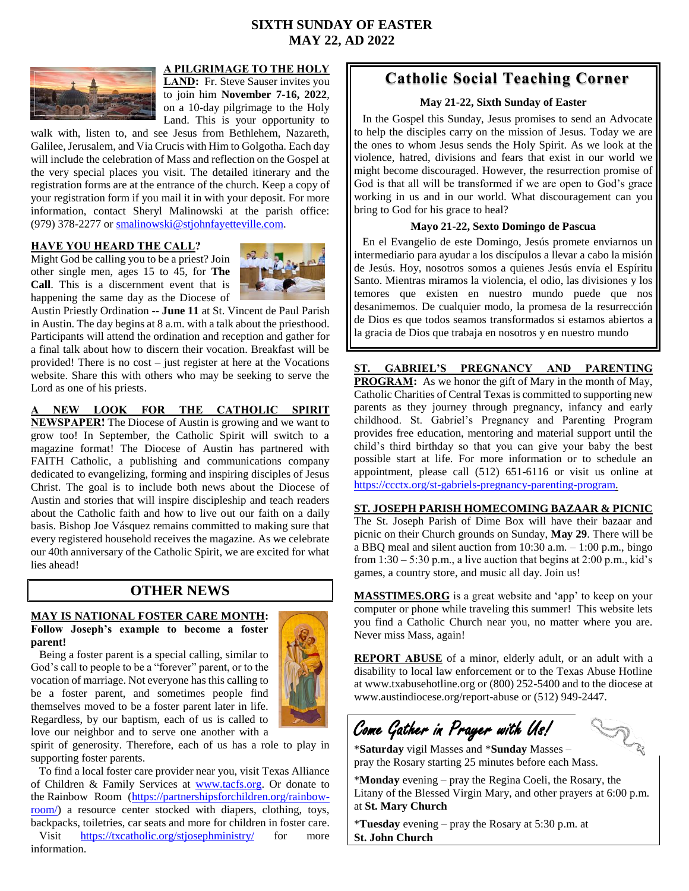# **SIXTH SUNDAY OF EASTER MAY 22, AD 2022**



### **A PILGRIMAGE TO THE HOLY**

LAND: Fr. Steve Sauser invites you to join him **November 7-16, 2022**, on a 10-day pilgrimage to the Holy Land. This is your opportunity to

walk with, listen to, and see Jesus from Bethlehem, Nazareth, Galilee, Jerusalem, and Via Crucis with Him to Golgotha. Each day will include the celebration of Mass and reflection on the Gospel at the very special places you visit. The detailed itinerary and the registration forms are at the entrance of the church. Keep a copy of your registration form if you mail it in with your deposit. For more information, contact Sheryl Malinowski at the parish office: (979) 378-2277 or [smalinowski@stjohnfayetteville.com.](mailto:smalinowski@stjohnfayetteville.com)

#### **HAVE YOU HEARD THE CALL?**

Might God be calling you to be a priest? Join other single men, ages 15 to 45, for **The Call**. This is a discernment event that is happening the same day as the Diocese of



Austin Priestly Ordination -- **June 11** at St. Vincent de Paul Parish in Austin. The day begins at 8 a.m. with a talk about the priesthood. Participants will attend the ordination and reception and gather for a final talk about how to discern their vocation. Breakfast will be provided! There is no cost – just register at here at the Vocations website. Share this with others who may be seeking to serve the Lord as one of his priests.

#### **A NEW LOOK FOR THE CATHOLIC SPIRIT**

**NEWSPAPER!** The Diocese of Austin is growing and we want to grow too! In September, the Catholic Spirit will switch to a magazine format! The Diocese of Austin has partnered with FAITH Catholic, a publishing and communications company dedicated to evangelizing, forming and inspiring disciples of Jesus Christ. The goal is to include both news about the Diocese of Austin and stories that will inspire discipleship and teach readers about the Catholic faith and how to live out our faith on a daily basis. Bishop Joe Vásquez remains committed to making sure that every registered household receives the magazine. As we celebrate our 40th anniversary of the Catholic Spirit, we are excited for what lies ahead!

# **OTHER NEWS**

#### **MAY IS NATIONAL FOSTER CARE MONTH: Follow Joseph's example to become a foster parent!**

 Being a foster parent is a special calling, similar to God's call to people to be a "forever" parent, or to the vocation of marriage. Not everyone has this calling to be a foster parent, and sometimes people find themselves moved to be a foster parent later in life. Regardless, by our baptism, each of us is called to love our neighbor and to serve one another with a



spirit of generosity. Therefore, each of us has a role to play in supporting foster parents.

 To find a local foster care provider near you, visit Texas Alliance of Children & Family Services at [www.tacfs.org.](http://www.tacfs.org/) Or donate to the Rainbow Room [\(https://partnershipsforchildren.org/rainbow](https://partnershipsforchildren.org/rainbow-room/)[room/\)](https://partnershipsforchildren.org/rainbow-room/) a resource center stocked with diapers, clothing, toys, backpacks, toiletries, car seats and more for children in foster care.

Visit <https://txcatholic.org/stjosephministry/> for more information.

# **Catholic Social Teaching Corner**

#### **May 21-22, Sixth Sunday of Easter**

 In the Gospel this Sunday, Jesus promises to send an Advocate to help the disciples carry on the mission of Jesus. Today we are the ones to whom Jesus sends the Holy Spirit. As we look at the violence, hatred, divisions and fears that exist in our world we might become discouraged. However, the resurrection promise of God is that all will be transformed if we are open to God's grace working in us and in our world. What discouragement can you bring to God for his grace to heal?

#### **Mayo 21-22, Sexto Domingo de Pascua**

 En el Evangelio de este Domingo, Jesús promete enviarnos un intermediario para ayudar a los discípulos a llevar a cabo la misión de Jesús. Hoy, nosotros somos a quienes Jesús envía el Espíritu Santo. Mientras miramos la violencia, el odio, las divisiones y los temores que existen en nuestro mundo puede que nos desanimemos. De cualquier modo, la promesa de la resurrección de Dios es que todos seamos transformados si estamos abiertos a la gracia de Dios que trabaja en nosotros y en nuestro mundo 

**ST. GABRIEL'S PREGNANCY AND PARENTING PROGRAM:** As we honor the gift of Mary in the month of May, Catholic Charities of Central Texas is committed to supporting new parents as they journey through pregnancy, infancy and early childhood. St. Gabriel's Pregnancy and Parenting Program provides free education, mentoring and material support until the child's third birthday so that you can give your baby the best possible start at life. For more information or to schedule an appointment, please call (512) 651-6116 or visit us online at [https://ccctx.org/st-gabriels-pregnancy-parenting-program.](https://ccctx.org/st-gabriels-pregnancy-parenting-program)

### **ST. JOSEPH PARISH HOMECOMING BAZAAR & PICNIC**

The St. Joseph Parish of Dime Box will have their bazaar and picnic on their Church grounds on Sunday, **May 29**. There will be a BBQ meal and silent auction from 10:30 a.m. – 1:00 p.m., bingo from  $1:30 - 5:30$  p.m., a live auction that begins at  $2:00$  p.m., kid's games, a country store, and music all day. Join us!

**MASSTIMES.ORG** is a great website and 'app' to keep on your computer or phone while traveling this summer! This website lets you find a Catholic Church near you, no matter where you are. Never miss Mass, again!

**REPORT ABUSE** of a minor, elderly adult, or an adult with a disability to local law enforcement or to the Texas Abuse Hotline at www.txabusehotline.org or (800) 252-5400 and to the diocese at www.austindiocese.org/report-abuse or (512) 949-2447.

Come Gather in Prayer with Us!

\***Saturday** vigil Masses and \***Sunday** Masses – pray the Rosary starting 25 minutes before each Mass.

\***Monday** evening – pray the Regina Coeli, the Rosary, the Litany of the Blessed Virgin Mary, and other prayers at 6:00 p.m. at **St. Mary Church**

\***Tuesday** evening – pray the Rosary at 5:30 p.m. at **St. John Church**